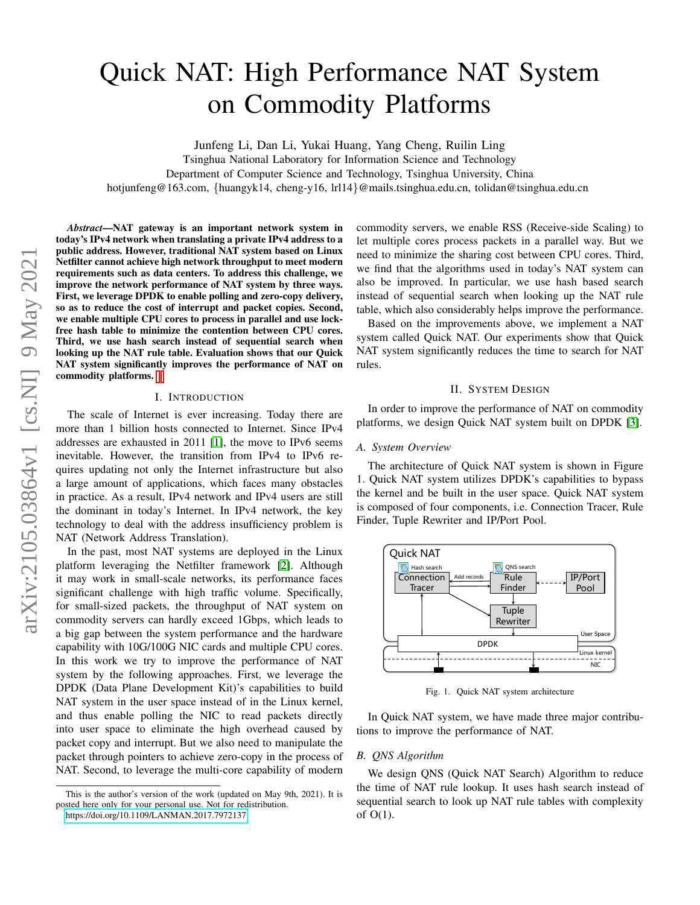# Quick NAT: High Performance NAT System on Commodity Platforms

Junfeng Li, Dan Li, Yukai Huang, Yang Cheng, Ruilin Ling

Tsinghua National Laboratory for Information Science and Technology

Department of Computer Science and Technology, Tsinghua University, China

hotjunfeng@163.com, {huangyk14, cheng-y16, lrl14}@mails.tsinghua.edu.cn, tolidan@tsinghua.edu.cn

*Abstract*—NAT gateway is an important network system in today's IPv4 network when translating a private IPv4 address to a public address. However, traditional NAT system based on Linux Netfilter cannot achieve high network throughput to meet modern requirements such as data centers. To address this challenge, we improve the network performance of NAT system by three ways. First, we leverage DPDK to enable polling and zero-copy delivery, so as to reduce the cost of interrupt and packet copies. Second, we enable multiple CPU cores to process in parallel and use lockfree hash table to minimize the contention between CPU cores. Third, we use hash search instead of sequential search when looking up the NAT rule table. Evaluation shows that our Quick NAT system significantly improves the performance of NAT on commodity platforms.

### I. INTRODUCTION

The scale of Internet is ever increasing. Today there are more than 1 billion hosts connected to Internet. Since IPv4 addresses are exhausted in 2011 [\[1\]](#page-1-0), the move to IPv6 seems inevitable. However, the transition from IPv4 to IPv6 requires updating not only the Internet infrastructure but also a large amount of applications, which faces many obstacles in practice. As a result, IPv4 network and IPv4 users are still the dominant in today's Internet. In IPv4 network, the key technology to deal with the address insufficiency problem is NAT (Network Address Translation).

In the past, most NAT systems are deployed in the Linux platform leveraging the Netfilter framework [\[2\]](#page-1-1). Although it may work in small-scale networks, its performance faces significant challenge with high traffic volume. Specifically, for small-sized packets, the throughput of NAT system on commodity servers can hardly exceed 1Gbps, which leads to a big gap between the system performance and the hardware capability with 10G/100G NIC cards and multiple CPU cores. In this work we try to improve the performance of NAT system by the following approaches. First, we leverage the DPDK (Data Plane Development Kit)'s capabilities to build NAT system in the user space instead of in the Linux kernel, and thus enable polling the NIC to read packets directly into user space to eliminate the high overhead caused by packet copy and interrupt. But we also need to manipulate the packet through pointers to achieve zero-copy in the process of NAT. Second, to leverage the multi-core capability of modern commodity servers, we enable RSS (Receive-side Scaling) to let multiple cores process packets in a parallel way. But we need to minimize the sharing cost between CPU cores. Third, we find that the algorithms used in today's NAT system can also be improved. In particular, we use hash based search instead of sequential search when looking up the NAT rule table, which also considerably helps improve the performance.

Based on the improvements above, we implement a NAT system called Quick NAT. Our experiments show that Quick NAT system significantly reduces the time to search for NAT rules.

# II. SYSTEM DESIGN

In order to improve the performance of NAT on commodity platforms, we design Quick NAT system built on DPDK [\[3\]](#page-1-2).

## *A. System Overview*

The architecture of Quick NAT system is shown in Figure 1. Quick NAT system utilizes DPDK's capabilities to bypass the kernel and be built in the user space. Quick NAT system is composed of four components, i.e. Connection Tracer, Rule Finder, Tuple Rewriter and IP/Port Pool.



Fig. 1. Quick NAT system architecture

In Quick NAT system, we have made three major contributions to improve the performance of NAT.

# *B. QNS Algorithm*

We design QNS (Quick NAT Search) Algorithm to reduce the time of NAT rule lookup. It uses hash search instead of sequential search to look up NAT rule tables with complexity of O(1).

This is the author's version of the work (updated on May 9th, 2021). It is posted here only for your personal use. Not for redistribution.

<https://doi.org/10.1109/LANMAN.2017.7972137>